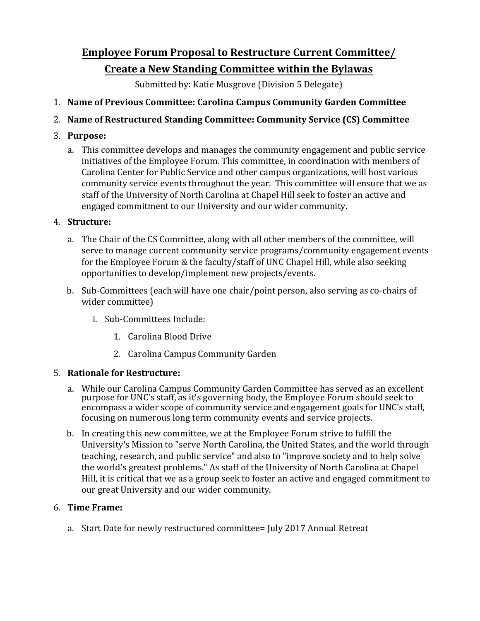# **Employee Forum Proposal to Restructure Current Committee/ Create a New Standing Committee within the Bylawas**

Submitted by: Katie Musgrove (Division 5 Delegate)

# 1. **Name of Previous Committee: Carolina Campus Community Garden Committee**

## 2. **Name%of%Restructured Standing Committee: Community Service (CS) Committee**

## 3. **Purpose:**

a. This committee develops and manages the community engagement and public service initiatives of the Employee Forum. This committee, in coordination with members of Carolina Center for Public Service and other campus organizations, will host various community service events throughout the year. This committee will ensure that we as staff of the University of North Carolina at Chapel Hill seek to foster an active and engaged commitment to our University and our wider community.

## 4. **Structure:**

- a. The Chair of the CS Committee, along with all other members of the committee, will serve to manage current community service programs/community engagement events for the Employee Forum & the faculty/staff of UNC Chapel Hill, while also seeking opportunities to develop/implement new projects/events.
- b. Sub-Committees (each will have one chair/point person, also serving as co-chairs of wider committee)
	- i. Sub-Committees Include:
		- 1. Carolina Blood Drive
		- 2. Carolina Campus Community Garden

# 5. **Rationale for Restructure:**

- a. While our Carolina Campus Community Garden Committee has served as an excellent purpose for UNC's staff, as it's governing body, the Employee Forum should seek to encompass a wider scope of community service and engagement goals for UNC's staff, focusing on numerous long term community events and service projects.
- b. In creating this new committee, we at the Employee Forum strive to fulfill the University's Mission to "serve North Carolina, the United States, and the world through teaching, research, and public service" and also to "improve society and to help solve the world's greatest problems." As staff of the University of North Carolina at Chapel Hill, it is critical that we as a group seek to foster an active and engaged commitment to our great University and our wider community.

#### 6. **Time%Frame:**

a. Start Date for newly restructured committee= July 2017 Annual Retreat